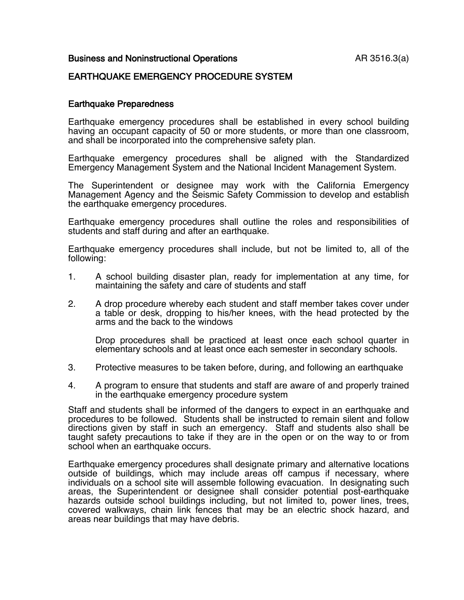### Business and Noninstructional Operations **AR 3516.3(a)**

### EARTHQUAKE EMERGENCY PROCEDURE SYSTEM

#### Earthquake Preparedness

Earthquake emergency procedures shall be established in every school building having an occupant capacity of 50 or more students, or more than one classroom, and shall be incorporated into the comprehensive safety plan.

Earthquake emergency procedures shall be aligned with the Standardized Emergency Management System and the National Incident Management System.

The Superintendent or designee may work with the California Emergency Management Agency and the Seismic Safety Commission to develop and establish the earthquake emergency procedures.

Earthquake emergency procedures shall outline the roles and responsibilities of students and staff during and after an earthquake.

Earthquake emergency procedures shall include, but not be limited to, all of the following:

- 1. A school building disaster plan, ready for implementation at any time, for maintaining the safety and care of students and staff
- 2. A drop procedure whereby each student and staff member takes cover under a table or desk, dropping to his/her knees, with the head protected by the arms and the back to the windows

Drop procedures shall be practiced at least once each school quarter in elementary schools and at least once each semester in secondary schools.

- 3. Protective measures to be taken before, during, and following an earthquake
- 4. A program to ensure that students and staff are aware of and properly trained in the earthquake emergency procedure system

Staff and students shall be informed of the dangers to expect in an earthquake and procedures to be followed. Students shall be instructed to remain silent and follow directions given by staff in such an emergency. Staff and students also shall be taught safety precautions to take if they are in the open or on the way to or from school when an earthquake occurs.

Earthquake emergency procedures shall designate primary and alternative locations outside of buildings, which may include areas off campus if necessary, where individuals on a school site will assemble following evacuation. In designating such areas, the Superintendent or designee shall consider potential post-earthquake hazards outside school buildings including, but not limited to, power lines, trees, covered walkways, chain link fences that may be an electric shock hazard, and areas near buildings that may have debris.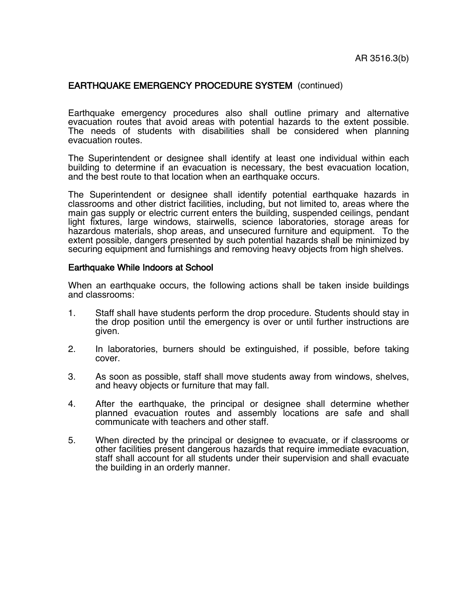# EARTHQUAKE EMERGENCY PROCEDURE SYSTEM (continued)

Earthquake emergency procedures also shall outline primary and alternative evacuation routes that avoid areas with potential hazards to the extent possible. The needs of students with disabilities shall be considered when planning evacuation routes.

The Superintendent or designee shall identify at least one individual within each building to determine if an evacuation is necessary, the best evacuation location, and the best route to that location when an earthquake occurs.

The Superintendent or designee shall identify potential earthquake hazards in classrooms and other district facilities, including, but not limited to, areas where the main gas supply or electric current enters the building, suspended ceilings, pendant light fixtures, large windows, stairwells, science laboratories, storage areas for hazardous materials, shop areas, and unsecured furniture and equipment. To the extent possible, dangers presented by such potential hazards shall be minimized by securing equipment and furnishings and removing heavy objects from high shelves.

### Earthquake While Indoors at School

When an earthquake occurs, the following actions shall be taken inside buildings and classrooms:

- 1. Staff shall have students perform the drop procedure. Students should stay in the drop position until the emergency is over or until further instructions are given.
- 2. In laboratories, burners should be extinguished, if possible, before taking cover.
- 3. As soon as possible, staff shall move students away from windows, shelves, and heavy objects or furniture that may fall.<br>4. After the earthquake. the principal or de
- After the earthquake, the principal or designee shall determine whether planned evacuation routes and assembly locations are safe and shall communicate with teachers and other staff.
- 5. When directed by the principal or designee to evacuate, or if classrooms or other facilities present dangerous hazards that require immediate evacuation, staff shall account for all students under their supervision and shall evacuate the building in an orderly manner.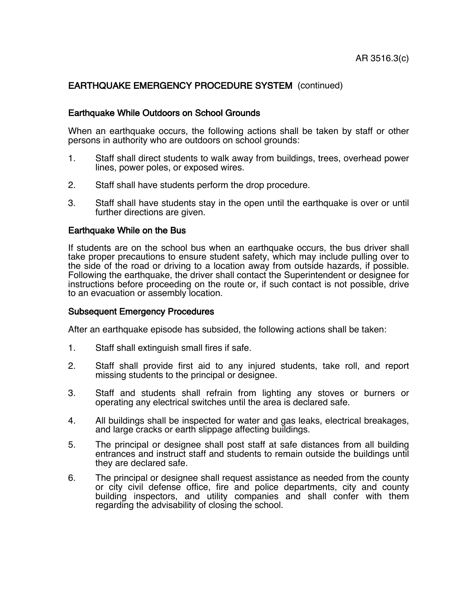# EARTHQUAKE EMERGENCY PROCEDURE SYSTEM (continued)

## Earthquake While Outdoors on School Grounds

When an earthquake occurs, the following actions shall be taken by staff or other persons in authority who are outdoors on school grounds:

- 1. Staff shall direct students to walk away from buildings, trees, overhead power lines, power poles, or exposed wires.
- 2. Staff shall have students perform the drop procedure.
- 3. Staff shall have students stay in the open until the earthquake is over or until further directions are given.

#### Earthquake While on the Bus

If students are on the school bus when an earthquake occurs, the bus driver shall take proper precautions to ensure student safety, which may include pulling over to the side of the road or driving to a location away from outside hazards, if possible. Following the earthquake, the driver shall contact the Superintendent or designee for instructions before proceeding on the route or, if such contact is not possible, drive to an evacuation or assembly location.

### Subsequent Emergency Procedures

After an earthquake episode has subsided, the following actions shall be taken:

- 1. Staff shall extinguish small fires if safe.
- 2. Staff shall provide first aid to any injured students, take roll, and report missing students to the principal or designee.
- 3. Staff and students shall refrain from lighting any stoves or burners or operating any electrical switches until the area is declared safe.
- 4. All buildings shall be inspected for water and gas leaks, electrical breakages, and large cracks or earth slippage affecting buildings.
- 5. The principal or designee shall post staff at safe distances from all building entrances and instruct staff and students to remain outside the buildings until they are declared safe.
- 6. The principal or designee shall request assistance as needed from the county or city civil defense office, fire and police departments, city and county building inspectors, and utility companies and shall confer with them regarding the advisability of closing the school.